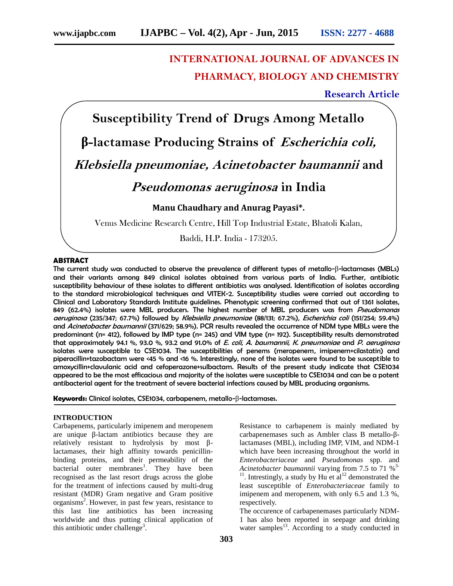# **INTERNATIONAL JOURNAL OF ADVANCES IN PHARMACY, BIOLOGY AND CHEMISTRY**

**Research Article**

**Susceptibility Trend of Drugs Among Metallo -lactamase Producing Strains of** *Escherichia coli, Klebsiella pneumoniae, Acinetobacter baumannii* **and** *Pseudomonas aeruginosa* **in India Manu Chaudhary and Anurag Payasi\*.** Venus Medicine Research Centre, Hill Top Industrial Estate, Bhatoli Kalan,

Baddi, H.P. India - 173205.

# **ABSTRACT**

The current study was conducted to observe the prevalence of different types of metallo- -lactamases (MBLs) and their variants among 849 clinical isolates obtained from various parts of India. Further, antibiotic susceptibility behaviour of these isolates to different antibiotics was analysed. Identification of isolates according to the standard microbiological techniques and VITEK-2. Susceptibility studies were carried out according to Clinical and Laboratory Standards Institute guidelines. Phenotypic screening confirmed that out of 1361 isolates, 849 (62.4%) isolates were MBL producers. The highest number of MBL producers was from *Pseudomonas aeruginosa* (235/347; 67.7%) followed by *Klebsiella pneumoniae* (88/131; 67.2%), *Escherichia coli* (151/254; 59.4%) and *Acinetobacter baumannii* (371/629; 58.9%). PCR results revealed the occurrence of NDM type MBLs were the predominant (n= 412), followed by IMP type (n= 245) and VIM type (n= 192). Susceptibility results demonstrated that approximately 94.1 %, 93.0 %, 93.2 and 91.0% of *E. coli*, *A. baumannii*, *K. pneumoniae* and *P. aeruginosa* isolates were susceptible to CSE1034. The susceptibilities of penems (meropenem, imipenem+cilastatin) and piperacillin+tazobactam were <45 % and <16 %. Interestingly, none of the isolates were found to be susceptible to amoxycillin+clavulanic acid and cefoperazone+sulbactam. Results of the present study indicate that CSE1034 appeared to be the most efficacious and majority of the isolates were susceptible to CSE1034 and can be a potent antibacterial agent for the treatment of severe bacterial infections caused by MBL producing organisms.

**Keywords:** Clinical isolates, CSE1034, carbapenem, metallo- -lactamases.

### **INTRODUCTION**

Carbapenems, particularly imipenem and meropenem are unique -lactam antibiotics because they are relatively resistant to hydrolysis by most lactamases, their high affinity towards penicillin binding proteins, and their permeability of the bacterial outer membranes<sup>1</sup>. They have been recognised as the last resort drugs across the globe for the treatment of infections caused by multi-drug resistant (MDR) Gram negative and Gram positive organisms<sup>2</sup>. However, in past few years, resistance to this last line antibiotics has been increasing worldwide and thus putting clinical application of this antibiotic under challenge<sup>3</sup>.

Resistance to carbapenem is mainly mediated by carbapenemases such as Ambler class B metallo- lactamases (MBL), including IMP, VIM, and NDM-1 which have been increasing throughout the world in *Enterobacteriaceae* and *Pseudomonas* spp. and *Acinetobacter baumannii* varying from 7.5 to 71 % 3-

<sup>11</sup>. Intrestingly, a study by Hu et al<sup>12</sup> demonstrated the least susceptible of *Enterobacteriaceae* family to imipenem and meropenem, with only 6.5 and 1.3 %, respectively.

The occurence of carbapenemases particularly NDM- 1 has also been reported in seepage and drinking water samples $^{13}$ . According to a study conducted in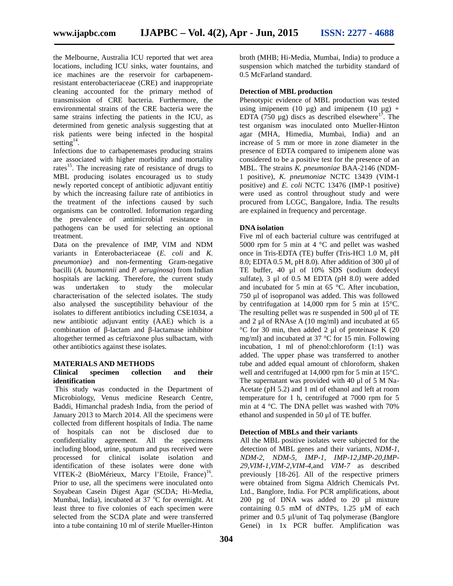the Melbourne, Australia ICU reported that wet area locations, including ICU sinks, water fountains, and ice machines are the reservoir for carbapenemresistant enterobacteriaceae (CRE) and inappropriate cleaning accounted for the primary method of transmission of CRE bacteria. Furthermore, the environmental strains of the CRE bacteria were the same strains infecting the patients in the ICU, as determined from genetic analysis suggesting that at risk patients were being infected in the hospital setting<sup>14</sup>.

Infections due to carbapenemases producing strains are associated with higher morbidity and mortality rates<sup>15</sup>. The increasing rate of resistance of drugs to MBL producing isolates encouraged us to study newly reported concept of antibiotic adjuvant entitiy by which the increasing failure rate of antibiotics in the treatment of the infections caused by such organisms can be controlled. Information regarding the prevalence of antimicrobial resistance in pathogens can be used for selecting an optional treatment.

Data on the prevalence of IMP, VIM and NDM variants in Enterobacteriaceae (*E. coli* and *K. pneumoniae*) and non-fermenting Gram-negative bacilli (*A. baumannii* and *P. aeruginosa*) from Indian hospitals are lacking. Therefore, the current study was undertaken to study the molecular characterisation of the selected isolates. The study also analysed the susceptibility behaviour of the isolates to different antibiotics including CSE1034, a new antibiotic adjuvant entity (AAE) which is a combination of -lactam and -lactamase inhibitor altogether termed as ceftriaxone plus sulbactam, with other antibiotics against these isolates.

#### **MATERIALS AND METHODS**

#### **Clinical specimen collection and their identification**

This study was conducted in the Department of Microbiology, Venus medicine Research Centre, Baddi, Himanchal pradesh India, from the period of January 2013 to March 2014. All the specimens were collected from different hospitals of India. The name of hospitals can not be disclosed due to confidentiality agreement. All the specimens including blood, urine, sputum and pus received were processed for clinical isolate isolation and identification of these isolates were done with VITEK-2 (BioMérieux, Marcy l'Etoile, France)<sup>16</sup>. Prior to use, all the specimens were inoculated onto Soyabean Casein Digest Agar (SCDA; Hi-Media, Mumbai, India), incubated at  $37^{\circ}$ C for overnight. At least three to five colonies of each specimen were selected from the SCDA plate and were transferred into a tube containing 10 ml of sterile Mueller-Hinton

broth (MHB; Hi-Media, Mumbai, India) to produce a suspension which matched the turbidity standard of 0.5 McFarland standard.

#### **Detection of MBL production**

Phenotypic evidence of MBL production was tested using imipenem (10  $\mu$ g) and imipenem (10  $\mu$ g) + EDTA (750  $\mu$ g) discs as described elsewhere<sup>17</sup>. The test organism was inoculated onto Mueller-Hinton agar (MHA, Himedia, Mumbai, India) and an increase of 5 mm or more in zone diameter in the presence of EDTA compared to imipenem alone was considered to be a positive test for the presence of an MBL. The strains *K. pneumoniae* BAA-2146 (NDM- 1 positive), *K. pneumoniae* NCTC 13439 (VIM-1 positive) and *E. coli* NCTC 13476 (IMP-1 positive) were used as control throughout study and were procured from LCGC, Bangalore, India. The results are explained in frequency and percentage.

# **DNA isolation**

Five ml of each bacterial culture was centrifuged at 5000 rpm for 5 min at 4 °C and pellet was washed once in Tris-EDTA (TE) buffer (Tris-HCl 1.0 M, pH 8.0; EDTA 0.5 M, pH 8.0). After addition of 300 μl of TE buffer, 40 μl of 10% SDS (sodium dodecyl sulfate), 3 μl of 0.5 M EDTA (pH 8.0) were added and incubated for 5 min at 65 °C. After incubation, 750 μl of isopropanol was added. This was followed by centrifugation at 14,000 rpm for 5 min at 15°C. The resulting pellet was re suspended in 500 μl of TE and 2 μl of RNAse A (10 mg/ml) and incubated at 65 °C for 30 min, then added 2 μl of proteinase K (20 mg/ml) and incubated at 37 °C for 15 min. Following incubation, 1 ml of phenol:chloroform (1:1) was added. The upper phase was transferred to another tube and added equal amount of chloroform, shaken well and centrifuged at 14,000 rpm for 5 min at 15°C. The supernatant was provided with 40 μl of 5 M Na- Acetate (pH 5.2) and 1 ml of ethanol and left at room temperature for 1 h, centrifuged at 7000 rpm for 5 min at 4 °C. The DNA pellet was washed with 70% ethanol and suspended in 50 μl of TE buffer.

# **Detection of MBLs and their variants**

All the MBL positive isolates were subjected for the detection of MBL genes and their variants, *NDM-1, NDM-2, NDM-5, IMP-1, IMP-12,IMP-20,IMP- 29,VIM-1,VIM-2,VIM-4*,and *VIM-7* as described previously [18-26]. All of the respective primers were obtained from Sigma Aldrich Chemicals Pvt. Ltd., Banglore, India. For PCR amplifications, about 200 pg of DNA was added to 20 µl mixture containing 0.5 mM of dNTPs, 1.25 µM of each primer and 0.5 µl/unit of Taq polymerase (Banglore Genei) in 1x PCR buffer. Amplification was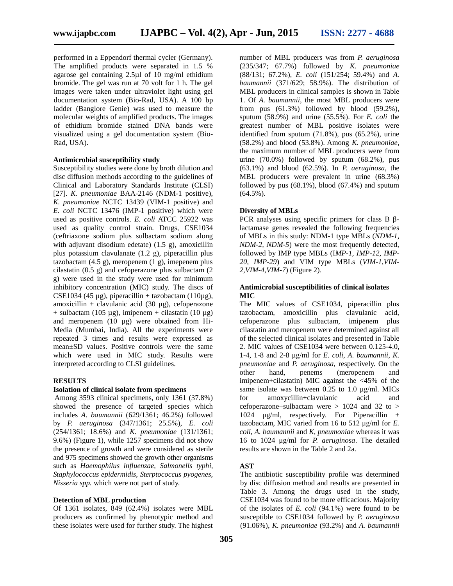performed in a Eppendorf thermal cycler (Germany). The amplified products were separated in 1.5 % agarose gel containing 2.5µl of 10 mg/ml ethidium bromide. The gel was run at 70 volt for 1 h. The gel images were taken under ultraviolet light using gel documentation system (Bio-Rad, USA). A 100 bp ladder (Banglore Genie) was used to measure the molecular weights of amplified products. The images of ethidium bromide stained DNA bands were visualized using a gel documentation system (Bio- Rad, USA).

# **Antimicrobial susceptibility study**

Susceptibility studies were done by broth dilution and disc diffusion methods according to the guidelines of Clinical and Laboratory Standards Institute (CLSI) [27]. *K. pneumoniae* BAA-2146 (NDM-1 positive), *K. pneumoniae* NCTC 13439 (VIM-1 positive) and *E. coli* NCTC 13476 (IMP-1 positive) which were used as positive controls. *E. coli* ATCC 25922 was used as quality control strain. Drugs, CSE1034 (ceftriaxone sodium plus sulbactam sodium along with adjuvant disodium edetate) (1.5 g), amoxicillin plus potassium clavulanate (1.2 g), piperacillin plus tazobactam  $(4.5 \text{ g})$ , meropenem  $(1 \text{ g})$ , imepenem plus cilastatin (0.5 g) and cefoperazone plus sulbactam (2 g) were used in the study were used for minimum inhibitory concentration (MIC) study. The discs of CSE1034 (45 µg), piperacillin + tazobactam (110µg), amoxicillin + clavulanic acid (30  $\mu$ g), cefoperazone + sulbactam (105  $\mu$ g), imipenem + cilastatin (10  $\mu$ g) and meropenem (10 µg) were obtained from Hi- Media (Mumbai, India). All the experiments were repeated 3 times and results were expressed as mean±SD values. Positive controls were the same which were used in MIC study. Results were interpreted according to CLSI guidelines.

### **RESULTS**

## **Isolation of clinical isolate from specimens**

Among 3593 clinical specimens, only 1361 (37.8%) showed the presence of targeted species which includes *A. baumannii* (629/1361; 46.2%) followed by *P. aeruginosa* (347/1361; 25.5%), *E. coli* (254/1361; 18.6%) and *K. pneumoniae* (131/1361; 9.6%) (Figure 1), while 1257 specimens did not show the presence of growth and were considered as sterile and 975 specimens showed the growth other organisms such as *Haemophilus influenzae, Salmonells typhi, Staphylococcus epidermidis, Sterptococcus pyogenes, Nisseria spp.* which were not part of study.

# **Detection of MBL production**

Of 1361 isolates, 849 (62.4%) isolates were MBL producers as confirmed by phenotypic method and these isolates were used for further study. The highest number of MBL producers was from *P. aeruginosa* (235/347; 67.7%) followed by *K. pneumoniae* (88/131; 67.2%), *E. coli* (151/254; 59.4%) and *A. baumannii* (371/629; 58.9%). The distribution of MBL producers in clinical samples is shown in Table 1. Of *A. baumannii*, the most MBL producers were from pus  $(61.3\%)$  followed by blood  $(59.2\%)$ , sputum (58.9%) and urine (55.5%). For *E. coli* the greatest number of MBL positive isolates were identified from sputum (71.8%), pus (65.2%), urine (58.2%) and blood (53.8%). Among *K. pneumoniae*, the maximum number of MBL producers were from urine  $(70.0\%)$  followed by sputum  $(68.2\%)$ , pus (63.1%) and blood (62.5%). In *P. aeruginosa*, the MBL producers were prevalent in urine (68.3%) followed by pus  $(68.1\%)$ , blood  $(67.4\%)$  and sputum  $(64.5\%)$ .

#### **Diversity of MBLs**

PCR analyses using specific primers for class B lactamase genes revealed the following frequencies of MBLs in this study: NDM-1 type MBLs (*NDM-1, NDM-2, NDM-5*) were the most frequently detected, followed by IMP type MBLs (I*MP-1, IMP-12, IMP- 20, IMP-29*) and VIM type MBLs (*VIM-1,VIM- 2,VIM-4,VIM-7*) (Figure 2).

## **Antimicrobial susceptibilities of clinical isolates MIC**

The MIC values of CSE1034, piperacillin plus tazobactam, amoxicillin plus clavulanic acid, cefoperazone plus sulbactam, imipenem plus cilastatin and meropenem were determined against all of the selected clinical isolates and presented in Table 2. MIC values of CSE1034 were between 0.125-4.0, 1-4, 1-8 and 2-8 μg/ml for *E. coli*, *A. baumannii*, *K. pneumoniae* and *P. aeruginosa,* respectively. On the other hand, penems (meropenem and imipenem+cilastatin) MIC against the <45% of the same isolate was between 0.25 to 1.0 μg/ml. MICs for amoxycillin+clavulanic acid and cefoperazone+sulbactam were > 1024 and 32 to > 1024 μg/ml, respectively. For Piperacillin + tazobactam, MIC varied from 16 to 512 μg/ml for *E. coli*, *A. baumannii* and *K, pneumoniae* whereas it was 16 to 1024 μg/ml for *P. aeruginosa*. The detailed results are shown in the Table 2 and 2a.

### **AST**

The antibiotic susceptibility profile was determined by disc diffusion method and results are presented in Table 3. Among the drugs used in the study, CSE1034 was found to be more efficacious. Majority of the isolates of *E. coli* (94.1%) were found to be susceptible to CSE1034 followed by *P. aeruginosa* (91.06%), *K. pneumoniae* (93.2%) and *A. baumannii*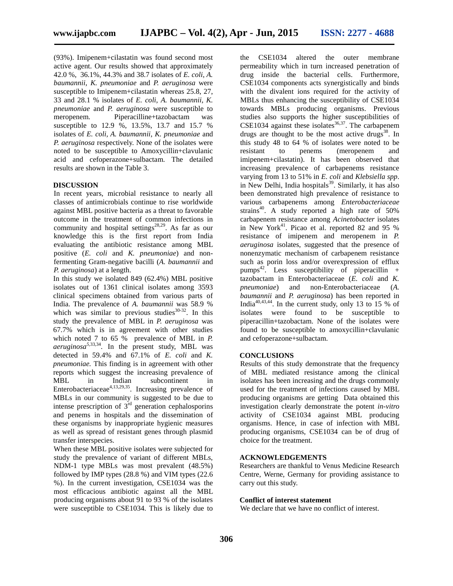(93%). Imipenem+cilastatin was found second most active agent. Our results showed that approximately 42.0 %, 36.1%, 44.3% and 38.7 isolates of *E. coli*, *A. baumannii*, *K. pneumoniae* and *P. aeruginosa* were susceptible to Imipenem+cilastatin whereas 25.8, 27, 33 and 28.1 % isolates of *E. coli*, *A. baumannii*, *K. pneumoniae* and *P. aeruginosa* were susceptible to meropenem. Piperacilline+tazobactam was susceptible to 12.9 %, 13.5%, 13.7 and 15.7 % isolates of *E. coli, A. baumannii*, *K. pneumoniae* and *P. aeruginosa* respectively. None of the isolates were noted to be susceptible to Amoxycillin+clavulanic acid and cefoperazone+sulbactam. The detailed results are shown in the Table 3.

#### **DISCUSSION**

In recent years, microbial resistance to nearly all classes of antimicrobials continue to rise worldwide against MBL positive bacteria as a threat to favorable outcome in the treatment of common infections in community and hospital settings<sup>28,29</sup>. As far as our knowledge this is the first report from India evaluating the antibiotic resistance among MBL positive (*E. coli* and *K. pneumoniae*) and nonfermenting Gram-negative bacilli (*A. baumannii* and *P. aeruginosa*) at a length.

In this study we isolated 849 (62.4%) MBL positive isolates out of 1361 clinical isolates among 3593 clinical specimens obtained from various parts of India. The prevalence of *A. baumannii* was 58.9 % which was similar to previous studies $30-32$ . In this study the prevalence of MBL in *P. aeruginosa* was 67.7% which is in agreement with other studies which noted 7 to 65 % prevalence of MBL in *P. aeruginosa5,*33,34 *.* In the present study, MBL was detected in 59.4% and 67.1% of *E. coli* and *K. pneumoniae.* This finding is in agreement with other reports which suggest the increasing prevalence of MBL in Indian subcontinent in Enterobacteriaceae<sup>4,13,29,35</sup>. Increasing prevalence of MBLs in our community is suggested to be due to intense prescription of  $3<sup>rd</sup>$  generation cephalosporins and penems in hospitals and the dissemination of these organisms by inappropriate hygienic measures as well as spread of resistant genes through plasmid transfer interspecies.

When these MBL positive isolates were subjected for study the prevalence of variant of different MBLs, NDM-1 type MBLs was most prevalent (48.5%) followed by IMP types (28.8 %) and VIM types (22.6 %). In the current investigation, CSE1034 was the most efficacious antibiotic against all the MBL producing organisms about 91 to 93 % of the isolates were susceptible to CSE1034. This is likely due to the CSE1034 altered the outer membrane permeability which in turn increased penetration of drug inside the bacterial cells. Furthermore, CSE1034 components acts synergistically and binds with the divalent ions required for the activity of MBLs thus enhancing the susceptibility of CSE1034 towards MBLs producing organisms. Previous studies also supports the higher susceptibilities of CSE1034 against these isolates $36,37$ . The carbapenem drugs are thought to be the most active drugs<sup>38</sup>. In this study 48 to 64 % of isolates were noted to be resistant to penems (meropenem and imipenem+cilastatin). It has been observed that increasing prevalence of carbapenems resistance varying from 13 to 51% in *E. coli* and *Klebsiella spp*. in New Delhi, India hospitals<sup>39</sup>. Similarly, it has also been demonstrated high prevalence of resistance to various carbapenems among *Enterobacteriaceae* strains<sup>40</sup>. A study reported a high rate of  $50\%$ carbapenem resistance among *Acinetobacter* isolates in New York<sup>41</sup>. Picao et al. reported 82 and 95 % resistance of imipenem and meropenem in *P. aeruginosa* isolates, suggested that the presence of nonenzymatic mechanism of carbapenem resistance such as porin loss and/or overexpression of efflux pumps<sup>42</sup>. Less susceptibility of piperacillin + tazobactam in Enterobacteriaceae (*E. coli* and *K. pneumoniae*) and non-Enterobacteriaceae (*A. baumannii* and *P. aeruginosa*) has been reported in India<sup>40,43,44</sup>. In the current study, only 13 to 15 % of isolates were found to be susceptible to piperacillin+tazobactam. None of the isolates were found to be susceptible to amoxycillin+clavulanic and cefoperazone+sulbactam.

#### **CONCLUSIONS**

Results of this study demonstrate that the frequency of MBL mediated resistance among the clinical isolates has been increasing and the drugs commonly used for the treatment of infections caused by MBL producing organisms are getting Data obtained this investigation clearly demonstrate the potent *in-vitro* activity of CSE1034 against MBL producing organisms. Hence, in case of infection with MBL producing organisms, CSE1034 can be of drug of choice for the treatment.

# **ACKNOWLEDGEMENTS**

Researchers are thankful to Venus Medicine Research Centre, Werne, Germany for providing assistance to carry out this study.

#### **Conflict of interest statement**

We declare that we have no conflict of interest.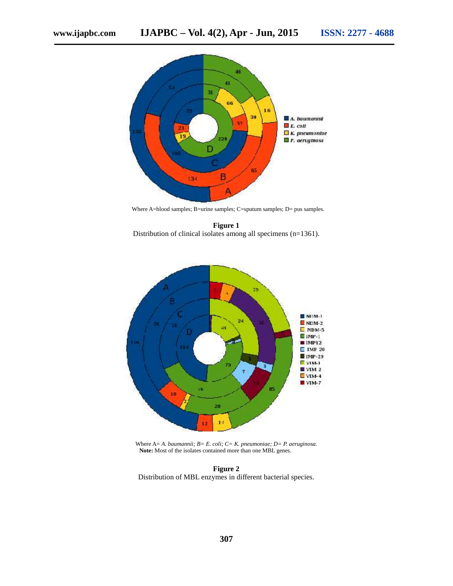

Where A=blood samples; B=urine samples; C=sputum samples; D= pus samples.

**Figure 1** Distribution of clinical isolates among all specimens (n=1361).



Where A= *A. baumannii; B= E. coli; C= K. pneumoniae; D= P. aeruginosa.* **Note:** Most of the isolates contained more than one MBL genes.

**Figure 2** Distribution of MBL enzymes in different bacterial species.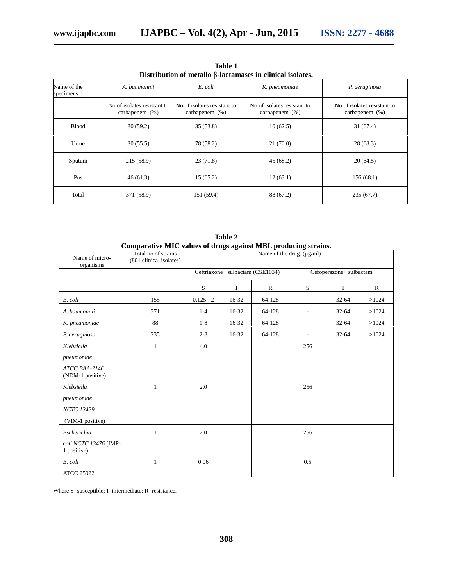| Distribution of metallo<br>-lactamases in clinical isolates. |                                                  |                                                  |                                                  |                                                  |  |  |  |  |  |  |  |
|--------------------------------------------------------------|--------------------------------------------------|--------------------------------------------------|--------------------------------------------------|--------------------------------------------------|--|--|--|--|--|--|--|
| Name of the<br>specimens                                     | A. baumannii                                     | E. coli                                          | K. pneumoniae                                    | P. aeruginosa                                    |  |  |  |  |  |  |  |
|                                                              | No of isolates resistant to<br>carbapenem $(\%)$ | No of isolates resistant to<br>carbapenem $(\%)$ | No of isolates resistant to<br>carbapenem $(\%)$ | No of isolates resistant to<br>carbapenem $(\%)$ |  |  |  |  |  |  |  |
| <b>Blood</b>                                                 | 80(59.2)                                         | 35(53.8)                                         | 10(62.5)                                         | 31(67.4)                                         |  |  |  |  |  |  |  |
| Urine                                                        | 30(55.5)                                         | 78 (58.2)                                        | 21(70.0)                                         | 28(68.3)                                         |  |  |  |  |  |  |  |
| Sputum                                                       | 215(58.9)                                        | 23(71.8)                                         | 45(68.2)                                         | 20(64.5)                                         |  |  |  |  |  |  |  |
| Pus                                                          | 46(61.3)                                         | 15(65.2)                                         | 12(63.1)                                         | 156(68.1)                                        |  |  |  |  |  |  |  |
| Total                                                        | 371 (58.9)                                       | 151 (59.4)                                       | 88 (67.2)                                        | 235(67.7)                                        |  |  |  |  |  |  |  |

**Table 1 Distribution of metallo** -lactamases in clinical isolates.

|                                      | Comparative MIC values of drugs against MBL producing strains. |             |                                  |              |                          |           |             |  |  |  |  |  |  |  |  |
|--------------------------------------|----------------------------------------------------------------|-------------|----------------------------------|--------------|--------------------------|-----------|-------------|--|--|--|--|--|--|--|--|
| Name of micro-<br>organisms          | Total no of strains<br>(801 clinical isolates)                 |             | Name of the drug. (µg/ml)        |              |                          |           |             |  |  |  |  |  |  |  |  |
|                                      |                                                                |             | Ceftriaxone +sulbactam (CSE1034) |              | Cefoperazone+ sulbactam  |           |             |  |  |  |  |  |  |  |  |
|                                      |                                                                | S           | Ι.                               | $\mathbb{R}$ | S                        | Ι         | $\mathbf R$ |  |  |  |  |  |  |  |  |
| E. coli                              | 155                                                            | $0.125 - 2$ | 16-32                            | 64-128       | $\overline{\phantom{a}}$ | $32 - 64$ | >1024       |  |  |  |  |  |  |  |  |
| A. baumannii                         | 371                                                            | $1 - 4$     | 16-32                            | 64-128       | $\overline{\phantom{a}}$ | 32-64     | >1024       |  |  |  |  |  |  |  |  |
| K. pneumoniae                        | 88                                                             | $1-8$       | 16-32                            | 64-128       | $\overline{\phantom{a}}$ | $32 - 64$ | >1024       |  |  |  |  |  |  |  |  |
| P. aeruginosa                        | 235                                                            | $2 - 8$     | 16-32                            | 64-128       |                          | 32-64     | >1024       |  |  |  |  |  |  |  |  |
| Klebsiella                           | $\mathbf{1}$                                                   | 4.0         |                                  |              | 256                      |           |             |  |  |  |  |  |  |  |  |
| pneumoniae                           |                                                                |             |                                  |              |                          |           |             |  |  |  |  |  |  |  |  |
| ATCC BAA-2146<br>(NDM-1 positive)    |                                                                |             |                                  |              |                          |           |             |  |  |  |  |  |  |  |  |
| Klebsiella                           | $\mathbf{1}$                                                   | 2.0         |                                  |              | 256                      |           |             |  |  |  |  |  |  |  |  |
| pneumoniae                           |                                                                |             |                                  |              |                          |           |             |  |  |  |  |  |  |  |  |
| <b>NCTC 13439</b>                    |                                                                |             |                                  |              |                          |           |             |  |  |  |  |  |  |  |  |
| (VIM-1 positive)                     |                                                                |             |                                  |              |                          |           |             |  |  |  |  |  |  |  |  |
| Escherichia                          | $\mathbf{1}$                                                   | 2.0         |                                  |              | 256                      |           |             |  |  |  |  |  |  |  |  |
| coli NCTC 13476 (IMP-<br>1 positive) |                                                                |             |                                  |              |                          |           |             |  |  |  |  |  |  |  |  |
| E. coli                              | $\mathbf{1}$                                                   | 0.06        |                                  |              | 0.5                      |           |             |  |  |  |  |  |  |  |  |
| <b>ATCC 25922</b>                    |                                                                |             |                                  |              |                          |           |             |  |  |  |  |  |  |  |  |

**Table 2**

Where S=susceptible; I=intermediate; R=resistance.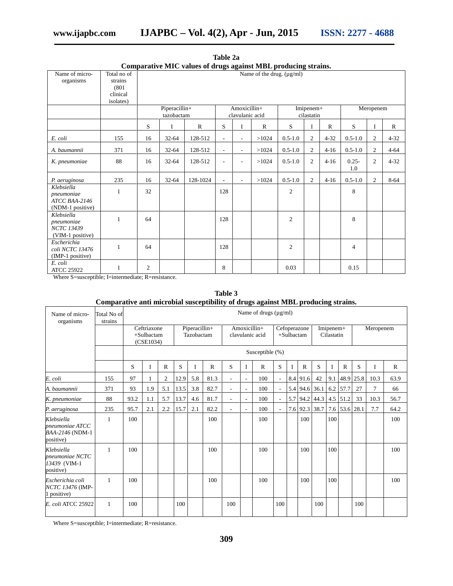**www.ijapbc.com IJAPBC – Vol. 4(2), Apr - Jun, 2015 ISSN: 2277 - 4688**

|                                                    |                                                         |                |            | Comparative MIC values of drugs against MDL producing strains. |                          |                          |              |                                |                |              |                 |                |              |  |
|----------------------------------------------------|---------------------------------------------------------|----------------|------------|----------------------------------------------------------------|--------------------------|--------------------------|--------------|--------------------------------|----------------|--------------|-----------------|----------------|--------------|--|
| Name of micro-<br>organisms                        | Total no of<br>strains<br>(801)                         |                |            |                                                                |                          |                          |              | Name of the drug. $(\mu g/ml)$ |                |              |                 |                |              |  |
|                                                    | clinical                                                |                |            |                                                                |                          |                          |              |                                |                |              |                 |                |              |  |
|                                                    | isolates)<br>Amoxicillin+<br>Piperacillin+<br>Imipenem+ |                |            |                                                                |                          |                          |              |                                |                |              |                 |                |              |  |
|                                                    |                                                         |                | tazobactam |                                                                |                          | clavulanic acid          |              |                                | cilastatin     |              | Meropenem       |                |              |  |
|                                                    |                                                         | S              | I          | $\mathbf R$                                                    | S                        | I                        | $\mathbb{R}$ | S                              | $\bf I$        | $\mathbb{R}$ | S               | I              | $\mathbf{R}$ |  |
| E. coli                                            | 155                                                     | 16             | $32 - 64$  | 128-512                                                        |                          | $\overline{\phantom{a}}$ | >1024        | $0.5 - 1.0$                    | $\overline{2}$ | $4 - 32$     | $0.5 - 1.0$     | $\overline{2}$ | $4 - 32$     |  |
| A. baumannii                                       | 371                                                     | 16             | $32 - 64$  | 128-512                                                        | $\overline{\phantom{0}}$ | $\overline{\phantom{a}}$ | >1024        | $0.5 - 1.0$                    | 2              | $4 - 16$     | $0.5 - 1.0$     | $\overline{2}$ | $4 - 64$     |  |
| K. pneumoniae                                      | 88                                                      | 16             | $32 - 64$  | 128-512                                                        |                          | $\overline{\phantom{a}}$ | >1024        | $0.5 - 1.0$                    | $\overline{c}$ | $4-16$       | $0.25 -$<br>1.0 | $\overline{2}$ | $4 - 32$     |  |
| P. aeruginosa                                      | 235                                                     | 16             | $32 - 64$  | 128-1024                                                       |                          | ä,                       | >1024        | $0.5 - 1.0$                    | 2              | $4 - 16$     | $0.5 - 1.0$     | $\overline{2}$ | $8 - 64$     |  |
| Klebsiella<br>pneumoniae<br>ATCC BAA-2146          |                                                         | 32             |            |                                                                | 128                      |                          |              | $\mathbf{2}$                   |                |              | 8               |                |              |  |
| (NDM-1 positive)                                   |                                                         |                |            |                                                                |                          |                          |              |                                |                |              |                 |                |              |  |
| Klebsiella<br>pneumoniae                           |                                                         | 64             |            |                                                                | 128                      |                          |              | $\mathbf{2}$                   |                |              | 8               |                |              |  |
| <b>NCTC 13439</b><br>(VIM-1 positive)              |                                                         |                |            |                                                                |                          |                          |              |                                |                |              |                 |                |              |  |
| Escherichia<br>coli NCTC 13476<br>(IMP-1 positive) |                                                         | 64             |            |                                                                | 128                      |                          |              | $\boldsymbol{2}$               |                |              | $\overline{4}$  |                |              |  |
| E. coli<br><b>ATCC 25922</b>                       |                                                         | $\overline{c}$ |            |                                                                | 8                        |                          |              | 0.03                           |                |              | 0.15            |                |              |  |

**Table 2a Comparative MIC values of drugs against MBL producing strains.**

Where S=susceptible; I=intermediate; R=resistance.

**Table 3 Comparative anti microbial susceptibility of drugs against MBL producing strains.**

| Name of micro-<br>organisms                                        | Total No of<br>strains | Name of drugs $(\mu g/ml)$                |     |              |                             |     |                                 |     |                            |              |                         |   |              |               |          |              |      |                |              |
|--------------------------------------------------------------------|------------------------|-------------------------------------------|-----|--------------|-----------------------------|-----|---------------------------------|-----|----------------------------|--------------|-------------------------|---|--------------|---------------|----------|--------------|------|----------------|--------------|
|                                                                    |                        | Ceftriaxone<br>$+$ Sulbactam<br>(CSE1034) |     |              | Piperacillin+<br>Tazobactam |     | Amoxicillin+<br>clavulanic acid |     | Cefoperazone<br>+Sulbactam |              | Imipenem+<br>Cilastatin |   |              | Meropenem     |          |              |      |                |              |
|                                                                    |                        | Susceptible (%)                           |     |              |                             |     |                                 |     |                            |              |                         |   |              |               |          |              |      |                |              |
|                                                                    |                        | S                                         |     | $\mathbb{R}$ | S                           | I   | R                               | S   | I                          | $\mathbb{R}$ | S                       | I | $\mathbb{R}$ | S             | <b>I</b> | $\mathbb{R}$ | S    | I              | $\mathbb{R}$ |
| E. coli                                                            | 155                    | 97                                        |     | 2            | 12.9                        | 5.8 | 81.3                            | L,  | $\overline{\phantom{a}}$   | 100          |                         |   | 8.4 91.6     | 42            | 9.1      | 48.9         | 25.8 | 10.3           | 63.9         |
| A. baumannii                                                       | 371                    | 93                                        | 1.9 | 5.1          | 13.5                        | 3.8 | 82.7                            | ä,  | ÷,                         | 100          |                         |   |              | 5.4 94.6 36.1 |          | 6.2 57.7     | 27   | $\overline{7}$ | 66           |
| K. pneumoniae                                                      | 88                     | 93.2                                      | 1.1 | 5.7          | 13.7                        | 4.6 | 81.7                            | ä,  | $\sim$                     | 100          |                         |   | 5.7 94.2     | 44.3          |          | $4.5$ 51.2   | 33   | 10.3           | 56.7         |
| P. aeruginosa                                                      | 235                    | 95.7                                      | 2.1 | 2.2          | 15.7                        | 2.1 | 82.2                            | L.  | ÷,                         | 100          | ٠                       |   | 7.6 92.3     | 38.7          |          | 7.6 53.6     | 28.1 | 7.7            | 64.2         |
| Klebsiella<br>$p$ neumoniae $ATCC$<br>BAA-2146 (NDM-1<br>positive) | 1                      | 100                                       |     |              |                             |     | 100                             |     |                            | 100          |                         |   | 100          |               | 100      |              |      |                | 100          |
| Klebsiella<br>pneumoniae NCTC<br>13439 (VIM-1<br>positive)         | $\mathbf{1}$           | 100                                       |     |              |                             |     | 100                             |     |                            | 100          |                         |   | 100          |               | 100      |              |      |                | 100          |
| Escherichia coli<br>NCTC 13476 (IMP-<br>1 positive)                | $\mathbf{1}$           | 100                                       |     |              |                             |     | 100                             |     |                            | 100          |                         |   | 100          |               | 100      |              |      |                | 100          |
| E. coli ATCC 25922                                                 | 1                      | 100                                       |     |              | 100                         |     |                                 | 100 |                            |              | 100                     |   |              | 100           |          |              | 100  |                |              |

Where S=susceptible; I=intermediate; R=resistance.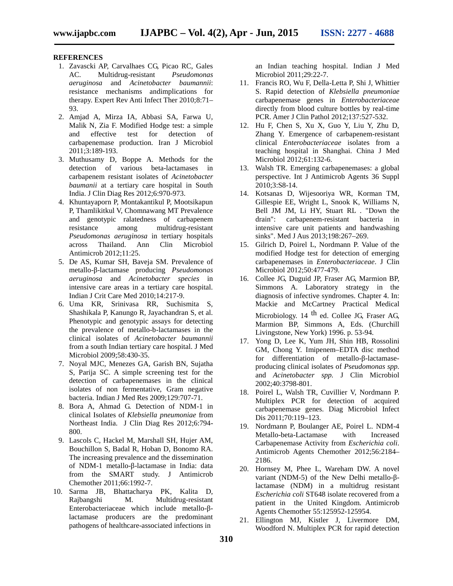## **REFERENCES**

- 1. Zavascki AP, Carvalhaes CG, Picao RC, Gales AC. Multidrug-resistant *Pseudomonas aeruginosa* and *Acinetobacter baumannii*: resistance mechanisms andimplications for therapy. Expert Rev Anti Infect Ther 2010;8:71– 93.
- 2. Amjad A, Mirza IA, Abbasi SA, Farwa U, Malik N, Zia F. Modified Hodge test: a simple and effective test for detection of carbapenemase production. Iran J Microbiol 2011;3:189-193.
- 3. Muthusamy D, Boppe A. Methods for the detection of various beta-lactamases in carbapenem resistant isolates of *Acinetobacter baumanii* at a tertiary care hospital in South India. J Clin Diag Res 2012;6:970-973.
- 4. Khuntayaporn P, Montakantikul P, Mootsikapun P, Thamlikitkul V, Chomnawang MT Prevalence and genotypic ralatedness of carbapenem resistance among multidrug-resistant *Pseudomonas aeruginosa* in tertiary hospitals across Thailand. Ann Clin Microbiol Antimicrob 2012;11:25.
- 5. De AS, Kumar SH, Baveja SM. Prevalence of metallo- -lactamase producing *Pseudomonas aeruginosa* and *Acinetobacter species* in intensive care areas in a tertiary care hospital. Indian J Crit Care Med 2010;14:217-9.
- 6. Uma KR, Srinivasa RR, Suchismita S, Shashikala P, Kanungo R, Jayachandran S, et al. Phenotypic and genotypic assays for detecting the prevalence of metallo-b-lactamases in the clinical isolates of *Acinetobacter baumannii* from a south Indian tertiary care hospital. J Med Microbiol 2009;58:430-35.
- 7. Noyal MJC, Menezes GA, Garish BN, Sujatha S, Parija SC. A simple screening test for the detection of carbapenemases in the clinical isolates of non fermentative, Gram negative bacteria. Indian J Med Res 2009;129:707-71.
- 8. Bora A, Ahmad G. Detection of NDM-1 in clinical Isolates of *Klebsiella pneumoniae* from Northeast India. J Clin Diag Res 2012;6:794- 800.
- 9. Lascols C, Hackel M, Marshall SH, Hujer AM, Bouchillon S, Badal R, Hoban D, Bonomo RA. The increasing prevalence and the dissemination of NDM-1 metallo- -lactamase in India: data from the SMART study. J Antimicrob Chemother 2011;66:1992-7.
- 10. Sarma JB, Bhattacharya PK, Kalita D, Rajbangshi M. Multidrug-resistant Enterobacteriaceae which include metallo- lactamase producers are the predominant pathogens of healthcare-associated infections in

an Indian teaching hospital. Indian J Med Microbiol 2011;29:22-7.

- 11. Francis RO, Wu F, Della-Letta P, Shi J, Whittier S. Rapid detection of *Klebsiella pneumoniae* carbapenemase genes in *Enterobacteriaceae* directly from blood culture bottles by real-time PCR. Amer J Clin Pathol 2012;137:527-532.
- 12. Hu F, Chen S, Xu X, Guo Y, Liu Y, Zhu D, Zhang Y. Emergence of carbapenem-resistant clinical *Enterobacteriaceae* isolates from a teaching hospital in Shanghai. China J Med Microbiol 2012;61:132-6.
- 13. Walsh TR. Emerging carbapenemases: a global perspective. Int J Antimicrob Agents 36 Suppl 2010;3:S8-14.
- 14. Kotsanas D, Wijesooriya WR, Korman TM, Gillespie EE, Wright L, Snook K, Williams N, Bell JM JM, Li HY, Stuart RL . "Down the carbapenem-resistant bacteria in intensive care unit patients and handwashing sinks". Med J Aus 2013;198:267–269.
- 15. Gilrich D, Poirel L, Nordmann P. Value of the modified Hodge test for detection of emerging carbapenemases in *Enterobacteriaceae*. J Clin Microbiol 2012;50:477-479.
- 16. Collee JG, Duguid JP, Fraser AG, Marmion BP, Simmons A. Laboratory strategy in the diagnosis of infective syndromes. Chapter 4. In: Mackie and McCartney Practical Medical Microbiology. 14  $<sup>th</sup>$  ed. Collee JG, Fraser AG,</sup> Marmion BP, Simmons A, Eds. (Churchill Livingstone, New York) 1996. p. 53-94.
- 17. Yong D, Lee K, Yum JH, Shin HB, Rossolini GM, Chong Y. Imipenem–EDTA disc method for differentiation of metallo- -lactamase producing clinical isolates of *Pseudomonas spp.* and *Acinetobacter spp.* J Clin Microbiol 2002;40:3798-801.
- 18. Poirel L, Walsh TR, Cuvillier V, Nordmann P. Multiplex PCR for detection of acquired carbapenemase genes. Diag Microbiol Infect Dis 2011;70:119–123.
- 19. Nordmann P, Boulanger AE, Poirel L. NDM-4 Metallo-beta-Lactamase with Increased Carbapenemase Activity from *Escherichia coli*. Antimicrob Agents Chemother 2012;56:2184– 2186.
- 20. Hornsey M, Phee L, Wareham DW. A novel variant (NDM-5) of the New Delhi metallo- lactamase (NDM) in a multidrug resistant *Escherichia coli* ST648 isolate recovered from a patient in the United Kingdom. Antimicrob Agents Chemother 55:125952-125954.
- 21. Ellington MJ, Kistler J, Livermore DM, Woodford N. Multiplex PCR for rapid detection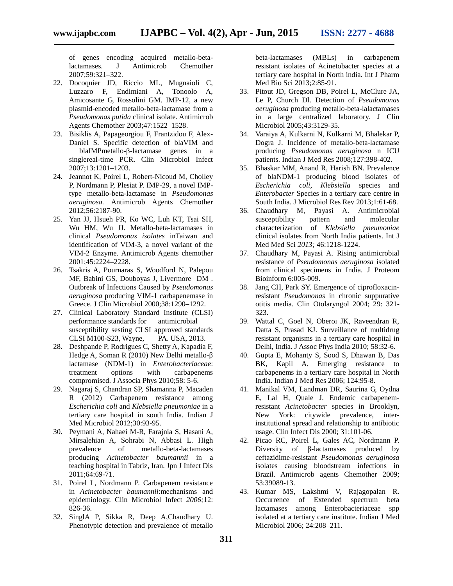of genes encoding acquired metallo-betalactamases. J Antimicrob Chemother 2007;59:321–322.

- 22. Docoquier JD, Riccio ML, Mugnaioli C, Luzzaro F, Endimiani A, Tonoolo A, Amicosante G, Rossolini GM. IMP-12, a new plasmid-encoded metallo-beta-lactamase from a *Pseudomonas putida* clinical isolate. Antimicrob Agents Chemother 2003;47:1522–1528.
- 23. Bisiklis A, Papageorgiou F, Frantzidou F, Alex- Daniel S. Specific detection of blaVIM and blaIMPmetallo- -lactamase genes in a singlereal-time PCR. Clin Microbiol Infect 2007;13:1201–1203.
- 24. Jeannot K, Poirel L, Robert-Nicoud M, Cholley P, Nordmann P, Plesiat P. IMP-29, a novel IMPtype metallo-beta-lactamase in *Pseudomonas aeruginosa.* Antimicrob Agents Chemother 2012;56:2187-90.
- 25. Yan JJ, Hsueh PR, Ko WC, Luh KT, Tsai SH, Wu HM, Wu JJ. Metallo-beta-lactamases in clinical *Pseudomonas isolates* inTaiwan and identification of VIM-3, a novel variant of the VIM-2 Enzyme. Antimicrob Agents chemother 2001;45:2224–2228.
- 26. Tsakris A, Pournaras S, Woodford N, Palepou MF, Babini GS, Douboyas J, Livermore DM . Outbreak of Infections Caused by *Pseudomonas aeruginosa* producing VIM-1 carbapenemase in Greece. J Clin Microbiol 2000;38:1290–1292.
- 27. Clinical Laboratory Standard Institute (CLSI) performance standards for antimicrobial susceptibility sesting CLSI approved standards CLSI M100-S23, Wayne, PA. USA, 2013.
- 28. Deshpande P, Rodrigues C, Shetty A, Kapadia F, Hedge A, Soman R (2010) New Delhi metallolactamase (NDM-1) in *Enterobacteriaceae*: treatment options with carbapenems compromised. J Associa Phys 2010;58: 5-6.
- 29. Nagaraj S, Chandran SP, Shamanna P, Macaden R (2012) Carbapenem resistance among *Escherichia coli* and *Klebsiella pneumoniae* in a tertiary care hospital in south India. Indian J Med Microbiol 2012;30:93-95.
- 30. Peymani A, Nahaei M-R, Farajnia S, Hasani A, Mirsalehian A, Sohrabi N, Abbasi L. High prevalence of metallo-beta-lactamases producing *Acinetobacter baumannii* in a teaching hospital in Tabriz, Iran. Jpn J Infect Dis 2011;64:69-71.
- 31. Poirel L, Nordmann P. Carbapenem resistance in *Acinetobacter baumannii*:mechanisms and epidemiology. Clin Microbiol Infect *2006;*12: 826-36.
- 32. SinglA P, Sikka R, Deep A,Chaudhary U. Phenotypic detection and prevalence of metallo

beta-lactamases (MBLs) in carbapenem resistant isolates of Acinetobacter species at a tertiary care hospital in North india. Int J Pharm Med Bio Sci 2013;2:85-91.

- 33. Pitout JD, Gregson DB, Poirel L, McClure JA, Le P, Church Dl. Detection of *Pseudomonas aeruginosa* producing metallo-beta-lalactamases in a large centralized laboratory. J Clin Microbiol 2005;43:3129-35.
- 34. Varaiya A, Kulkarni N, Kulkarni M, Bhalekar P, Dogra J. Incidence of metallo-beta-lactamase producing *Pseudomonas aeruginosa* n ICU patients. Indian J Med Res 2008;127:398-402.
- 35. Bhaskar MM, Anand R, Harish BN. Prevalence of blaNDM-1 producing blood isolates of *Escherichia coli*, *Klebsiella* species and *Enterobacter* Species in a tertiary care centre in South India. J Microbiol Res Rev 2013;1:61-68.
- 36. Chaudhary M, Payasi A. Antimicrobial susceptibility pattern and molecular characterization of *Klebsiella pneumoniae* clinical isolates from North India patients. Int J Med Med Sci *2013;* 46:1218-1224.
- 37. Chaudhary M, Payasi A. Rising antimicrobial resistance of *Pseudomonas aeruginosa* isolated from clinical specimens in India. J Proteom Bioinform 6:005-009.
- 38. Jang CH, Park SY. Emergence of ciprofloxacinresistant *Pseudomonas* in chronic suppurative otitis media. Clin Otolaryngol 2004; 29: 321- 323.
- 39. Wattal C, Goel N, Oberoi JK, Raveendran R, Datta S, Prasad KJ. Surveillance of multidrug resistant organisms in a tertiary care hospital in Delhi, India. J Assoc Phys India 2010; 58:32-6.
- 40. Gupta E, Mohanty S, Sood S, Dhawan B, Das BK, Kapil A. Emerging resistance to carbapenems in a tertiary care hospital in North India. Indian J Med Res 2006; 124:95-8.
- 41. Manikal VM, Landman DR, Saurina G, Oydna E, Lal H, Quale J. Endemic carbapenemresistant *Acinetobacter* species in Brooklyn, New York: citywide prevalence, interinstitutional spread and relationship to antibiotic usage. Clin Infect Dis 2000; 31:101-06.
- 42. Picao RC, Poirel L, Gales AC, Nordmann P. Diversity of -lactamases produced by ceftazidime-resistant *Pseudomonas aeruginosa* isolates causing bloodstream infections in Brazil. Antimicrob agents Chemother 2009; 53:39089-13.
- 43. Kumar MS, Lakshmi V, Rajagopalan R. Occurrence of Extended spectrum beta lactamases among Enterobacteriaceae spp isolated at a tertiary care institute. Indian J Med Microbiol 2006; 24:208–211.